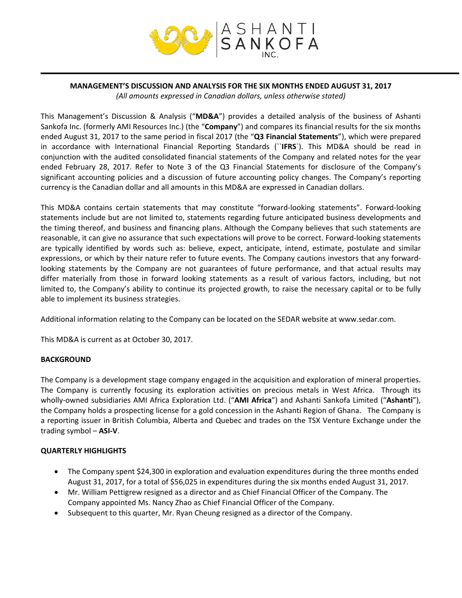

# **MANAGEMENT'S DISCUSSION AND ANALYSIS FOR THE SIX MONTHS ENDED AUGUST 31, 2017**

*(All amounts expressed in Canadian dollars, unless otherwise stated)*

This Management's Discussion & Analysis ("**MD&A**") provides a detailed analysis of the business of Ashanti Sankofa Inc. (formerly AMI Resources Inc.) (the "**Company**") and compares its financial results for the six months ended August 31, 2017 to the same period in fiscal 2017 (the "**Q3 Financial Statements**"), which were prepared in accordance with International Financial Reporting Standards (``**IFRS**`). This MD&A should be read in conjunction with the audited consolidated financial statements of the Company and related notes for the year ended February 28, 2017. Refer to Note 3 of the Q3 Financial Statements for disclosure of the Company's significant accounting policies and a discussion of future accounting policy changes. The Company's reporting currency is the Canadian dollar and all amounts in this MD&A are expressed in Canadian dollars.

This MD&A contains certain statements that may constitute "forward‐looking statements". Forward‐looking statements include but are not limited to, statements regarding future anticipated business developments and the timing thereof, and business and financing plans. Although the Company believes that such statements are reasonable, it can give no assurance that such expectations will prove to be correct. Forward‐looking statements are typically identified by words such as: believe, expect, anticipate, intend, estimate, postulate and similar expressions, or which by their nature refer to future events. The Company cautions investors that any forward‐ looking statements by the Company are not guarantees of future performance, and that actual results may differ materially from those in forward looking statements as a result of various factors, including, but not limited to, the Company's ability to continue its projected growth, to raise the necessary capital or to be fully able to implement its business strategies.

Additional information relating to the Company can be located on the SEDAR website at www.sedar.com.

This MD&A is current as at October 30, 2017.

## **BACKGROUND**

The Company is a development stage company engaged in the acquisition and exploration of mineral properties. The Company is currently focusing its exploration activities on precious metals in West Africa. Through its wholly‐owned subsidiaries AMI Africa Exploration Ltd. ("**AMI Africa**") and Ashanti Sankofa Limited ("**Ashanti**"), the Company holds a prospecting license for a gold concession in the Ashanti Region of Ghana. The Company is a reporting issuer in British Columbia, Alberta and Quebec and trades on the TSX Venture Exchange under the trading symbol – **ASI‐V**.

## **QUARTERLY HIGHLIGHTS**

- The Company spent \$24,300 in exploration and evaluation expenditures during the three months ended August 31, 2017, for a total of \$56,025 in expenditures during the six months ended August 31, 2017.
- Mr. William Pettigrew resigned as a director and as Chief Financial Officer of the Company. The Company appointed Ms. Nancy Zhao as Chief Financial Officer of the Company.
- Subsequent to this quarter, Mr. Ryan Cheung resigned as a director of the Company.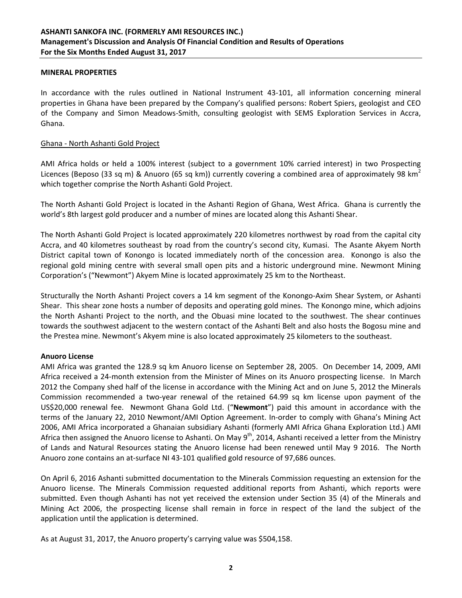#### **MINERAL PROPERTIES**

In accordance with the rules outlined in National Instrument 43‐101, all information concerning mineral properties in Ghana have been prepared by the Company's qualified persons: Robert Spiers, geologist and CEO of the Company and Simon Meadows‐Smith, consulting geologist with SEMS Exploration Services in Accra, Ghana.

#### Ghana ‐ North Ashanti Gold Project

AMI Africa holds or held a 100% interest (subject to a government 10% carried interest) in two Prospecting Licences (Beposo (33 sq m) & Anuoro (65 sq km)) currently covering a combined area of approximately 98 km<sup>2</sup> which together comprise the North Ashanti Gold Project.

The North Ashanti Gold Project is located in the Ashanti Region of Ghana, West Africa. Ghana is currently the world's 8th largest gold producer and a number of mines are located along this Ashanti Shear.

The North Ashanti Gold Project is located approximately 220 kilometres northwest by road from the capital city Accra, and 40 kilometres southeast by road from the country's second city, Kumasi. The Asante Akyem North District capital town of Konongo is located immediately north of the concession area. Konongo is also the regional gold mining centre with several small open pits and a historic underground mine. Newmont Mining Corporation's ("Newmont") Akyem Mine is located approximately 25 km to the Northeast.

Structurally the North Ashanti Project covers a 14 km segment of the Konongo-Axim Shear System, or Ashanti Shear. This shear zone hosts a number of deposits and operating gold mines. The Konongo mine, which adjoins the North Ashanti Project to the north, and the Obuasi mine located to the southwest. The shear continues towards the southwest adjacent to the western contact of the Ashanti Belt and also hosts the Bogosu mine and the Prestea mine. Newmont's Akyem mine is also located approximately 25 kilometers to the southeast.

## **Anuoro License**

AMI Africa was granted the 128.9 sq km Anuoro license on September 28, 2005. On December 14, 2009, AMI Africa received a 24‐month extension from the Minister of Mines on its Anuoro prospecting license. In March 2012 the Company shed half of the license in accordance with the Mining Act and on June 5, 2012 the Minerals Commission recommended a two‐year renewal of the retained 64.99 sq km license upon payment of the US\$20,000 renewal fee. Newmont Ghana Gold Ltd. ("**Newmont**") paid this amount in accordance with the terms of the January 22, 2010 Newmont/AMI Option Agreement. In‐order to comply with Ghana's Mining Act 2006, AMI Africa incorporated a Ghanaian subsidiary Ashanti (formerly AMI Africa Ghana Exploration Ltd.) AMI Africa then assigned the Anuoro license to Ashanti. On May  $9<sup>th</sup>$ , 2014, Ashanti received a letter from the Ministry of Lands and Natural Resources stating the Anuoro license had been renewed until May 9 2016. The North Anuoro zone contains an at‐surface NI 43‐101 qualified gold resource of 97,686 ounces.

On April 6, 2016 Ashanti submitted documentation to the Minerals Commission requesting an extension for the Anuoro license. The Minerals Commission requested additional reports from Ashanti, which reports were submitted. Even though Ashanti has not yet received the extension under Section 35 (4) of the Minerals and Mining Act 2006, the prospecting license shall remain in force in respect of the land the subject of the application until the application is determined.

As at August 31, 2017, the Anuoro property's carrying value was \$504,158.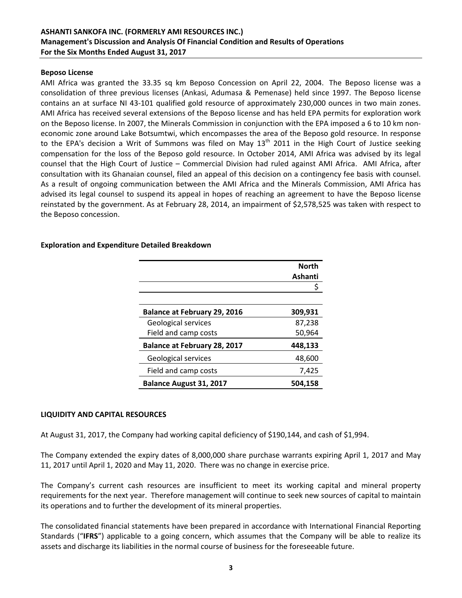# **ASHANTI SANKOFA INC. (FORMERLY AMI RESOURCES INC.) Management's Discussion and Analysis Of Financial Condition and Results of Operations For the Six Months Ended August 31, 2017**

#### **Beposo License**

AMI Africa was granted the 33.35 sq km Beposo Concession on April 22, 2004. The Beposo license was a consolidation of three previous licenses (Ankasi, Adumasa & Pemenase) held since 1997. The Beposo license contains an at surface NI 43‐101 qualified gold resource of approximately 230,000 ounces in two main zones. AMI Africa has received several extensions of the Beposo license and has held EPA permits for exploration work on the Beposo license. In 2007, the Minerals Commission in conjunction with the EPA imposed a 6 to 10 km non‐ economic zone around Lake Botsumtwi, which encompasses the area of the Beposo gold resource. In response to the EPA's decision a Writ of Summons was filed on May  $13<sup>th</sup>$  2011 in the High Court of Justice seeking compensation for the loss of the Beposo gold resource. In October 2014, AMI Africa was advised by its legal counsel that the High Court of Justice – Commercial Division had ruled against AMI Africa. AMI Africa, after consultation with its Ghanaian counsel, filed an appeal of this decision on a contingency fee basis with counsel. As a result of ongoing communication between the AMI Africa and the Minerals Commission, AMI Africa has advised its legal counsel to suspend its appeal in hopes of reaching an agreement to have the Beposo license reinstated by the government. As at February 28, 2014, an impairment of \$2,578,525 was taken with respect to the Beposo concession.

| <b>Exploration and Expenditure Detailed Breakdown</b> |  |  |  |
|-------------------------------------------------------|--|--|--|
|-------------------------------------------------------|--|--|--|

|                                     | <b>North</b> |
|-------------------------------------|--------------|
|                                     | Ashanti      |
|                                     |              |
|                                     |              |
| <b>Balance at February 29, 2016</b> | 309,931      |
| Geological services                 | 87,238       |
| Field and camp costs                | 50,964       |
| <b>Balance at February 28, 2017</b> | 448,133      |
| Geological services                 | 48,600       |
| Field and camp costs                | 7,425        |
| Balance August 31, 2017             | 504.158      |

## **LIQUIDITY AND CAPITAL RESOURCES**

At August 31, 2017, the Company had working capital deficiency of \$190,144, and cash of \$1,994.

The Company extended the expiry dates of 8,000,000 share purchase warrants expiring April 1, 2017 and May 11, 2017 until April 1, 2020 and May 11, 2020. There was no change in exercise price.

The Company's current cash resources are insufficient to meet its working capital and mineral property requirements for the next year. Therefore management will continue to seek new sources of capital to maintain its operations and to further the development of its mineral properties.

The consolidated financial statements have been prepared in accordance with International Financial Reporting Standards ("**IFRS**") applicable to a going concern, which assumes that the Company will be able to realize its assets and discharge its liabilities in the normal course of business for the foreseeable future.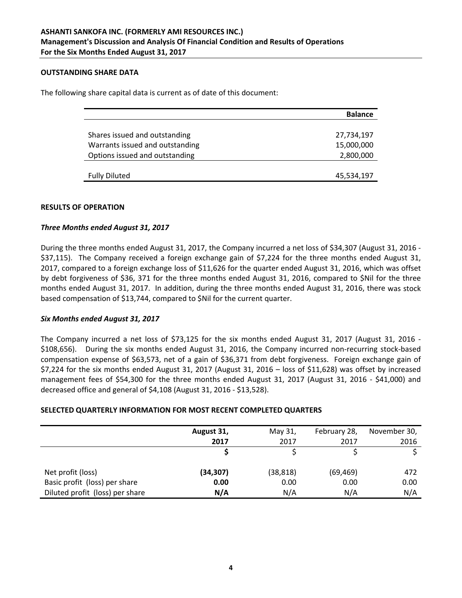#### **OUTSTANDING SHARE DATA**

The following share capital data is current as of date of this document:

|                                 | <b>Balance</b> |
|---------------------------------|----------------|
|                                 |                |
| Shares issued and outstanding   | 27,734,197     |
| Warrants issued and outstanding | 15,000,000     |
| Options issued and outstanding  | 2,800,000      |
|                                 |                |
| <b>Fully Diluted</b>            | 45,534,197     |

#### **RESULTS OF OPERATION**

#### *Three Months ended August 31, 2017*

During the three months ended August 31, 2017, the Company incurred a net loss of \$34,307 (August 31, 2016 -\$37,115). The Company received a foreign exchange gain of \$7,224 for the three months ended August 31, 2017, compared to a foreign exchange loss of \$11,626 for the quarter ended August 31, 2016, which was offset by debt forgiveness of \$36, 371 for the three months ended August 31, 2016, compared to \$Nil for the three months ended August 31, 2017. In addition, during the three months ended August 31, 2016, there was stock based compensation of \$13,744, compared to \$Nil for the current quarter.

## *Six Months ended August 31, 2017*

The Company incurred a net loss of \$73,125 for the six months ended August 31, 2017 (August 31, 2016 -\$108,656). During the six months ended August 31, 2016, the Company incurred non-recurring stock-based compensation expense of \$63,573, net of a gain of \$36,371 from debt forgiveness. Foreign exchange gain of \$7,224 for the six months ended August 31, 2017 (August 31, 2016 – loss of \$11,628) was offset by increased management fees of \$54,300 for the three months ended August 31, 2017 (August 31, 2016 - \$41,000) and decreased office and general of \$4,108 (August 31, 2016 ‐ \$13,528).

## **SELECTED QUARTERLY INFORMATION FOR MOST RECENT COMPLETED QUARTERS**

|                                 | August 31, | May 31,   | February 28, | November 30, |
|---------------------------------|------------|-----------|--------------|--------------|
|                                 | 2017       | 2017      | 2017         | 2016         |
|                                 |            |           |              |              |
|                                 |            |           |              |              |
| Net profit (loss)               | (34,307)   | (38, 818) | (69, 469)    | 472          |
| Basic profit (loss) per share   | 0.00       | 0.00      | 0.00         | 0.00         |
| Diluted profit (loss) per share | N/A        | N/A       | N/A          | N/A          |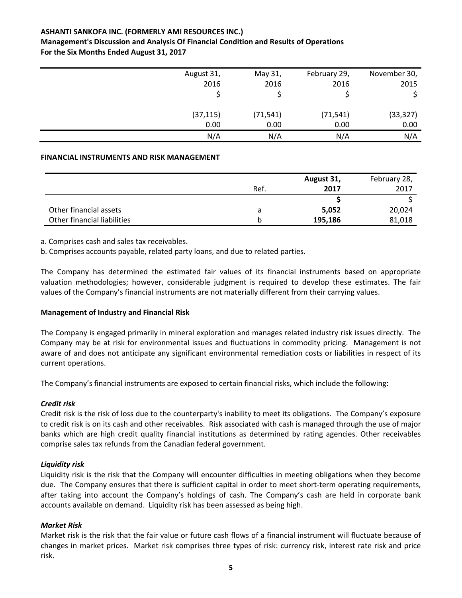# **ASHANTI SANKOFA INC. (FORMERLY AMI RESOURCES INC.)**

# **Management's Discussion and Analysis Of Financial Condition and Results of Operations For the Six Months Ended August 31, 2017**

| August 31, | May 31,   | February 29, | November 30, |
|------------|-----------|--------------|--------------|
| 2016       | 2016      | 2016         | 2015         |
|            |           |              |              |
| (37, 115)  | (71, 541) | (71, 541)    | (33, 327)    |
| 0.00       | 0.00      | 0.00         | 0.00         |
| N/A        | N/A       | N/A          | N/A          |

## **FINANCIAL INSTRUMENTS AND RISK MANAGEMENT**

|                             |      | August 31, | February 28, |
|-----------------------------|------|------------|--------------|
|                             | Ref. | 2017       | 2017         |
|                             |      |            |              |
| Other financial assets      | a    | 5,052      | 20,024       |
| Other financial liabilities |      | 195,186    | 81,018       |

a. Comprises cash and sales tax receivables.

b. Comprises accounts payable, related party loans, and due to related parties.

The Company has determined the estimated fair values of its financial instruments based on appropriate valuation methodologies; however, considerable judgment is required to develop these estimates. The fair values of the Company's financial instruments are not materially different from their carrying values.

## **Management of Industry and Financial Risk**

The Company is engaged primarily in mineral exploration and manages related industry risk issues directly. The Company may be at risk for environmental issues and fluctuations in commodity pricing. Management is not aware of and does not anticipate any significant environmental remediation costs or liabilities in respect of its current operations.

The Company's financial instruments are exposed to certain financial risks, which include the following:

## *Credit risk*

Credit risk is the risk of loss due to the counterparty's inability to meet its obligations. The Company's exposure to credit risk is on its cash and other receivables. Risk associated with cash is managed through the use of major banks which are high credit quality financial institutions as determined by rating agencies. Other receivables comprise sales tax refunds from the Canadian federal government.

## *Liquidity risk*

Liquidity risk is the risk that the Company will encounter difficulties in meeting obligations when they become due. The Company ensures that there is sufficient capital in order to meet short-term operating requirements, after taking into account the Company's holdings of cash. The Company's cash are held in corporate bank accounts available on demand. Liquidity risk has been assessed as being high.

## *Market Risk*

Market risk is the risk that the fair value or future cash flows of a financial instrument will fluctuate because of changes in market prices. Market risk comprises three types of risk: currency risk, interest rate risk and price risk.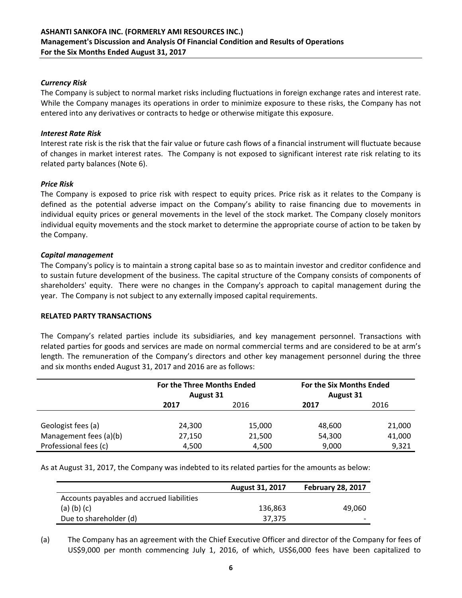# *Currency Risk*

The Company is subject to normal market risks including fluctuations in foreign exchange rates and interest rate. While the Company manages its operations in order to minimize exposure to these risks, the Company has not entered into any derivatives or contracts to hedge or otherwise mitigate this exposure.

## *Interest Rate Risk*

Interest rate risk is the risk that the fair value or future cash flows of a financial instrument will fluctuate because of changes in market interest rates. The Company is not exposed to significant interest rate risk relating to its related party balances (Note 6).

# *Price Risk*

The Company is exposed to price risk with respect to equity prices. Price risk as it relates to the Company is defined as the potential adverse impact on the Company's ability to raise financing due to movements in individual equity prices or general movements in the level of the stock market. The Company closely monitors individual equity movements and the stock market to determine the appropriate course of action to be taken by the Company.

# *Capital management*

The Company's policy is to maintain a strong capital base so as to maintain investor and creditor confidence and to sustain future development of the business. The capital structure of the Company consists of components of shareholders' equity. There were no changes in the Company's approach to capital management during the year. The Company is not subject to any externally imposed capital requirements.

## **RELATED PARTY TRANSACTIONS**

The Company's related parties include its subsidiaries, and key management personnel. Transactions with related parties for goods and services are made on normal commercial terms and are considered to be at arm's length. The remuneration of the Company's directors and other key management personnel during the three and six months ended August 31, 2017 and 2016 are as follows:

|                        | For the Three Months Ended<br><b>August 31</b> |        | For the Six Months Ended<br><b>August 31</b> |        |
|------------------------|------------------------------------------------|--------|----------------------------------------------|--------|
|                        | 2017                                           | 2016   | 2017                                         | 2016   |
|                        |                                                |        |                                              |        |
| Geologist fees (a)     | 24,300                                         | 15,000 | 48,600                                       | 21,000 |
| Management fees (a)(b) | 27,150                                         | 21,500 | 54,300                                       | 41,000 |
| Professional fees (c)  | 4,500                                          | 4,500  | 9,000                                        | 9,321  |

As at August 31, 2017, the Company was indebted to its related parties for the amounts as below:

|                                           | <b>August 31, 2017</b> | <b>February 28, 2017</b> |
|-------------------------------------------|------------------------|--------------------------|
| Accounts payables and accrued liabilities |                        |                          |
| $(a)$ (b) (c)                             | 136.863                | 49.060                   |
| Due to shareholder (d)                    | 37.375                 |                          |

(a) The Company has an agreement with the Chief Executive Officer and director of the Company for fees of US\$9,000 per month commencing July 1, 2016, of which, US\$6,000 fees have been capitalized to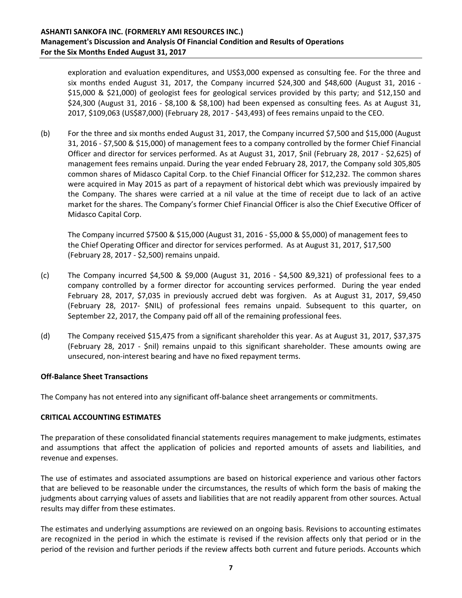exploration and evaluation expenditures, and US\$3,000 expensed as consulting fee. For the three and six months ended August 31, 2017, the Company incurred \$24,300 and \$48,600 (August 31, 2016 -\$15,000 & \$21,000) of geologist fees for geological services provided by this party; and \$12,150 and \$24,300 (August 31, 2016 ‐ \$8,100 & \$8,100) had been expensed as consulting fees. As at August 31, 2017, \$109,063 (US\$87,000) (February 28, 2017 ‐ \$43,493) of fees remains unpaid to the CEO.

(b) For the three and six months ended August 31, 2017, the Company incurred \$7,500 and \$15,000 (August 31, 2016 ‐ \$7,500 & \$15,000) of management fees to a company controlled by the former Chief Financial Officer and director for services performed. As at August 31, 2017, \$nil (February 28, 2017 ‐ \$2,625) of management fees remains unpaid. During the year ended February 28, 2017, the Company sold 305,805 common shares of Midasco Capital Corp. to the Chief Financial Officer for \$12,232. The common shares were acquired in May 2015 as part of a repayment of historical debt which was previously impaired by the Company. The shares were carried at a nil value at the time of receipt due to lack of an active market for the shares. The Company's former Chief Financial Officer is also the Chief Executive Officer of Midasco Capital Corp.

The Company incurred \$7500 & \$15,000 (August 31, 2016 ‐ \$5,000 & \$5,000) of management fees to the Chief Operating Officer and director for services performed. As at August 31, 2017, \$17,500 (February 28, 2017 ‐ \$2,500) remains unpaid.

- (c) The Company incurred  $$4,500 \& $9,000$  (August 31, 2016  $$4,500 \& $9,321$ ) of professional fees to a company controlled by a former director for accounting services performed. During the year ended February 28, 2017, \$7,035 in previously accrued debt was forgiven. As at August 31, 2017, \$9,450 (February 28, 2017‐ \$NIL) of professional fees remains unpaid. Subsequent to this quarter, on September 22, 2017, the Company paid off all of the remaining professional fees.
- (d) The Company received \$15,475 from a significant shareholder this year. As at August 31, 2017, \$37,375 (February 28, 2017 ‐ \$nil) remains unpaid to this significant shareholder. These amounts owing are unsecured, non‐interest bearing and have no fixed repayment terms.

## **Off‐Balance Sheet Transactions**

The Company has not entered into any significant off‐balance sheet arrangements or commitments.

## **CRITICAL ACCOUNTING ESTIMATES**

The preparation of these consolidated financial statements requires management to make judgments, estimates and assumptions that affect the application of policies and reported amounts of assets and liabilities, and revenue and expenses.

The use of estimates and associated assumptions are based on historical experience and various other factors that are believed to be reasonable under the circumstances, the results of which form the basis of making the judgments about carrying values of assets and liabilities that are not readily apparent from other sources. Actual results may differ from these estimates.

The estimates and underlying assumptions are reviewed on an ongoing basis. Revisions to accounting estimates are recognized in the period in which the estimate is revised if the revision affects only that period or in the period of the revision and further periods if the review affects both current and future periods. Accounts which